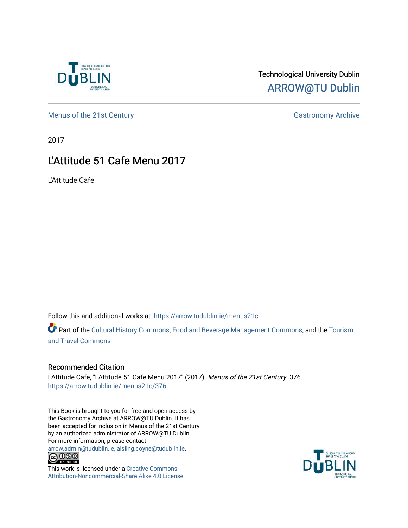

## Technological University Dublin [ARROW@TU Dublin](https://arrow.tudublin.ie/)

[Menus of the 21st Century](https://arrow.tudublin.ie/menus21c) Gastronomy Archive

2017

# L'Attitude 51 Cafe Menu 2017

L'Attitude Cafe

Follow this and additional works at: [https://arrow.tudublin.ie/menus21c](https://arrow.tudublin.ie/menus21c?utm_source=arrow.tudublin.ie%2Fmenus21c%2F376&utm_medium=PDF&utm_campaign=PDFCoverPages) 

Part of the [Cultural History Commons](http://network.bepress.com/hgg/discipline/496?utm_source=arrow.tudublin.ie%2Fmenus21c%2F376&utm_medium=PDF&utm_campaign=PDFCoverPages), [Food and Beverage Management Commons,](http://network.bepress.com/hgg/discipline/1089?utm_source=arrow.tudublin.ie%2Fmenus21c%2F376&utm_medium=PDF&utm_campaign=PDFCoverPages) and the [Tourism](http://network.bepress.com/hgg/discipline/1082?utm_source=arrow.tudublin.ie%2Fmenus21c%2F376&utm_medium=PDF&utm_campaign=PDFCoverPages) [and Travel Commons](http://network.bepress.com/hgg/discipline/1082?utm_source=arrow.tudublin.ie%2Fmenus21c%2F376&utm_medium=PDF&utm_campaign=PDFCoverPages)

## Recommended Citation

L'Attitude Cafe, "L'Attitude 51 Cafe Menu 2017" (2017). Menus of the 21st Century. 376. [https://arrow.tudublin.ie/menus21c/376](https://arrow.tudublin.ie/menus21c/376?utm_source=arrow.tudublin.ie%2Fmenus21c%2F376&utm_medium=PDF&utm_campaign=PDFCoverPages) 

This Book is brought to you for free and open access by the Gastronomy Archive at ARROW@TU Dublin. It has been accepted for inclusion in Menus of the 21st Century by an authorized administrator of ARROW@TU Dublin. For more information, please contact

[arrow.admin@tudublin.ie, aisling.coyne@tudublin.ie](mailto:arrow.admin@tudublin.ie,%20aisling.coyne@tudublin.ie).<br>
co 060



This work is licensed under a [Creative Commons](http://creativecommons.org/licenses/by-nc-sa/4.0/) [Attribution-Noncommercial-Share Alike 4.0 License](http://creativecommons.org/licenses/by-nc-sa/4.0/)

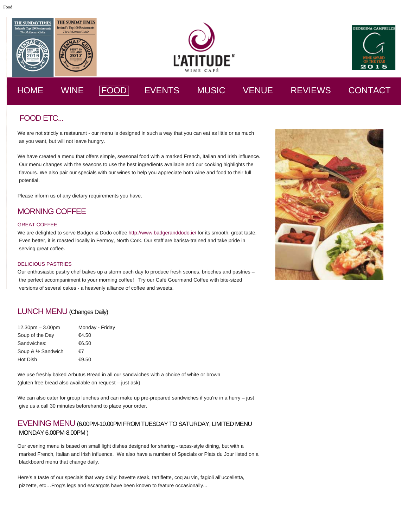

## FOOD ETC...

We are not strictly a restaurant - our menu is designed in such a way that you can eat as little or as much as you want, but will not leave hungry.

We have created a menu that offers simple, seasonal food with a marked French, Italian and Irish influence. Our menu changes with the seasons to use the best ingredients available and our cooking highlights the flavours. We also pair our specials with our wines to help you appreciate both wine and food to their full potential.

Please inform us of any dietary requirements you have.

## MORNING COFFEE

#### GREAT COFFEE

We are delighted to serve Badger & Dodo coffee <http://www.badgeranddodo.ie/>for its smooth, great taste. Even better, it is roasted locally in Fermoy, North Cork. Our staff are barista-trained and take pride in serving great coffee.

#### DELICIOUS PASTRIES

Our enthusiastic pastry chef bakes up a storm each day to produce fresh scones, brioches and pastries – the perfect accompaniment to your morning coffee! Try our Café Gourmand Coffee with bite-sized versions of several cakes - a heavenly alliance of coffee and sweets.

### LUNCH MENU (Changes Daily)

| $12.30pm - 3.00pm$  | Monday - Friday |
|---------------------|-----------------|
| Soup of the Day     | €4.50           |
| Sandwiches:         | €6.50           |
| Soup & 1/2 Sandwich | €7              |
| Hot Dish            | €9.50           |

We use freshly baked Arbutus Bread in all our sandwiches with a choice of white or brown (gluten free bread also available on request – just ask)

We can also cater for group lunches and can make up pre-prepared sandwiches if you're in a hurry – just give us a call 30 minutes beforehand to place your order.

### EVENING MENU (6.00PM-10.00PM FROM TUESDAYTO SATURDAY, LIMITED MENU MONDAY 6.00PM-8.00PM)

Our evening menu is based on small light dishes designed for sharing - tapas-style dining, but with a marked French, Italian and Irish influence. We also have a number of Specials or Plats du Jour listed on a blackboard menu that change daily.

Here's a taste of our specials that vary daily: bavette steak, tartiflette, coq au vin, fagioli all'uccelletta, pizzette, etc…Frog's legs and escargots have been known to feature occasionally...